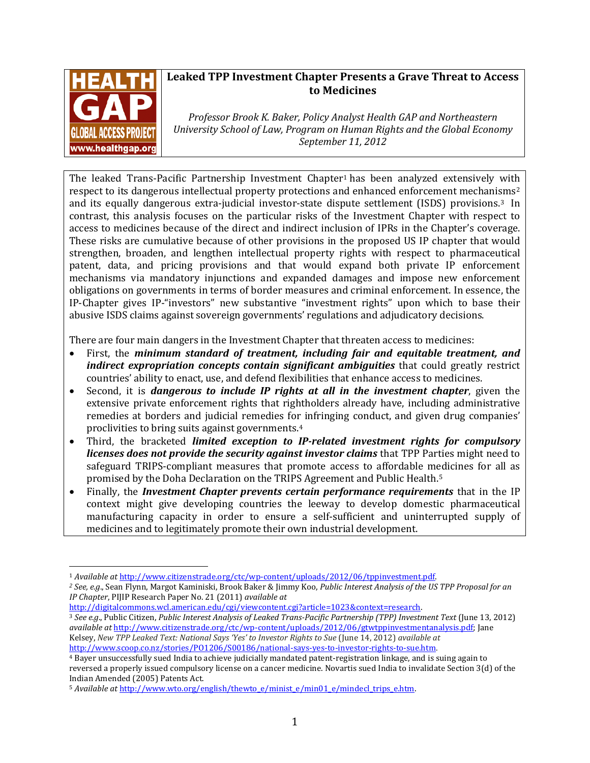

# **Leaked TPP Investment Chapter Presents a Grave Threat to Access to Medicines**

*Professor Brook K. Baker, Policy Analyst Health GAP and Northeastern University School of Law, Program on Human Rights and the Global Economy September 11, 2012*

The leaked Trans-Pacific Partnership Investment Chapter<sup>[1](#page-0-0)</sup> has been analyzed extensively with respect to its dangerous intellectual property protections and enhanced enforcement mechani[sm](#page-0-2)s<sup>[2](#page-0-1)</sup> and its equally dangerous extra-judicial investor-state dispute settlement (ISDS) provisions.3 In contrast, this analysis focuses on the particular risks of the Investment Chapter with respect to access to medicines because of the direct and indirect inclusion of IPRs in the Chapter's coverage. These risks are cumulative because of other provisions in the proposed US IP chapter that would strengthen, broaden, and lengthen intellectual property rights with respect to pharmaceutical patent, data, and pricing provisions and that would expand both private IP enforcement mechanisms via mandatory injunctions and expanded damages and impose new enforcement obligations on governments in terms of border measures and criminal enforcement. In essence, the IP-Chapter gives IP-"investors" new substantive "investment rights" upon which to base their abusive ISDS claims against sovereign governments' regulations and adjudicatory decisions.

There are four main dangers in the Investment Chapter that threaten access to medicines:

- First, the *minimum standard of treatment, including fair and equitable treatment, and indirect expropriation concepts contain significant ambiguities* that could greatly restrict countries' ability to enact, use, and defend flexibilities that enhance access to medicines.
- Second, it is *dangerous to include IP rights at all in the investment chapter*, given the extensive private enforcement rights that rightholders already have, including administrative remedies at borders and judicial remedies for infringing conduct, and given drug companies' proclivities to bring suits against governments.[4](#page-0-3)
- Third, the bracketed *limited exception to IP-related investment rights for compulsory licenses does not provide the security against investor claims* that TPP Parties might need to safeguard TRIPS-compliant measures that promote access to affordable medicines for all as promised by the Doha Declaration on the TRIPS Agreement and Public Health.[5](#page-0-4)
- Finally, the *Investment Chapter prevents certain performance requirements* that in the IP context might give developing countries the leeway to develop domestic pharmaceutical manufacturing capacity in order to ensure a self-sufficient and uninterrupted supply of medicines and to legitimately promote their own industrial development.

*IP Chapter*, PIJIP Research Paper No. 21 (2011) *available at*

<span id="page-0-1"></span><span id="page-0-0"></span><sup>&</sup>lt;sup>1</sup> Available at http://www.citizenstrade.org/ctc/wp-content/uploads/2012/06/tppinvestment.pdf.<br><sup>2</sup> See, e.g., Sean Flynn, Margot Kaminiski, Brook Baker & Jimmy Koo, Public Interest Analysis of the US TPP Proposal for an

<span id="page-0-2"></span><sup>&</sup>lt;sup>3</sup> See e.g., Public Citizen, Public Interest Analysis of Leaked Trans-Pacific Partnership (TPP) Investment Text (June 13, 2012) *available at* [http://www.citizenstrade.org/ctc/wp-content/uploads/2012/06/gtwtppinvestmentanalysis.pdf;](http://www.citizenstrade.org/ctc/wp-content/uploads/2012/06/gtwtppinvestmentanalysis.pdf) Jane Kelsey, *New TPP Leaked Text: National Says 'Yes' to Investor Rights to Sue* (June 14, 2012) *available at*

<span id="page-0-3"></span><sup>&</sup>lt;sup>4</sup> Bayer unsuccessfully sued India to achieve judicially mandated patent-registration linkage, and is suing again to reversed a properly issued compulsory license on a cancer medicine. Novartis sued India to invalidate Section 3(d) of the Indian Amended (2005) Patents Act.

<span id="page-0-4"></span><sup>5</sup> *Available at* [http://www.wto.org/english/thewto\\_e/minist\\_e/min01\\_e/mindecl\\_trips\\_e.htm.](http://www.wto.org/english/thewto_e/minist_e/min01_e/mindecl_trips_e.htm)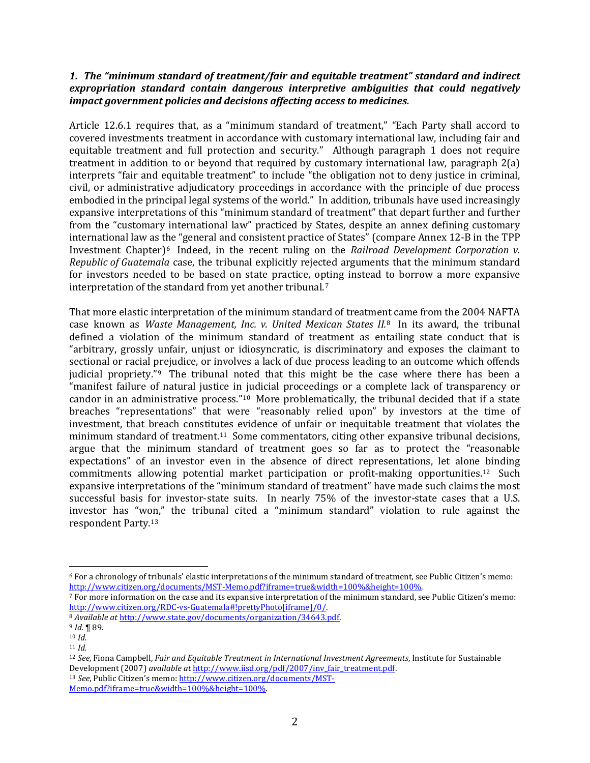# *1. The "minimum standard of treatment/fair and equitable treatment" standard and indirect expropriation standard contain dangerous interpretive ambiguities that could negatively impact government policies and decisions affecting access to medicines.*

Article 12.6.1 requires that, as a "minimum standard of treatment," "Each Party shall accord to covered investments treatment in accordance with customary international law, including fair and equitable treatment and full protection and security." Although paragraph 1 does not require treatment in addition to or beyond that required by customary international law, paragraph 2(a) interprets "fair and equitable treatment" to include "the obligation not to deny justice in criminal, civil, or administrative adjudicatory proceedings in accordance with the principle of due process embodied in the principal legal systems of the world." In addition, tribunals have used increasingly expansive interpretations of this "minimum standard of treatment" that depart further and further from the "customary international law" practiced by States, despite an annex defining customary international law as the "general and consistent practice of States" (compare Annex 12-B in the TPP Investment Chapter)[6](#page-1-0) Indeed, in the recent ruling on the *Railroad Development Corporation v. Republic of Guatemala* case, the tribunal explicitly rejected arguments that the minimum standard for investors needed to be based on state practice, opting instead to borrow a more expansive interpretation of the standard from yet another tribunal.[7](#page-1-1)

That more elastic interpretation of the minimum standard of treatme[nt](#page-1-2) came from the 2004 NAFTA case known as *Waste Management, Inc. v. United Mexican States II.*<sup>8</sup> In its award, the tribunal defined a violation of the minimum standard of treatment as entailing state conduct that is "arbitrary, grossly unfair, unjust or idiosyncratic, is discriminatory and exposes the claimant to sectional or racial prejudice, or involves a lack of due process leading to an outcome which offends judicial propriety."[9](#page-1-3) The tribunal noted that this might be the case where there has been a "manifest failure of natural justice in judicial proceedings or a complete lack of transparency or candor in an administrative process." $10$  More problematically, the tribunal decided that if a state breaches "representations" that were "reasonably relied upon" by investors at the time of investment, that breach constitutes evidence of unfair or inequitable treatment that violates the minimum standard of treatment.[11](#page-1-5) Some commentators, citing other expansive tribunal decisions, argue that the minimum standard of treatment goes so far as to protect the "reasonable expectations" of an investor even in the absence of direct representations, let alone binding commitments allowing potential market participation or profit-making opportunities.[12](#page-1-6) Such expansive interpretations of the "minimum standard of treatment" have made such claims the most successful basis for investor-state suits. In nearly 75% of the investor-state cases that a U.S. investor has "won," the tribunal cited a "minimum standard" violation to rule against the respondent Party.[13](#page-1-7)

<span id="page-1-0"></span> $6$  For a chronology of tribunals' elastic interpretations of the minimum standard of treatment, see Public Citizen's memo: [http://www.citizen.org/documents/MST-Memo.pdf?iframe=true&width=100%&height=100%.](http://www.citizen.org/documents/MST-Memo.pdf?iframe=true&width=100%25&height=100%25)

<span id="page-1-1"></span><sup>7</sup> For more information on the case and its expansive interpretation of the minimum standard, see Public Citizen's memo: [http://www.citizen.org/RDC-vs-Guatemala#!prettyPhoto\[iframe\]/0/.](http://www.citizen.org/RDC-vs-Guatemala#!prettyPhoto[iframe]/0/)

<span id="page-1-3"></span><span id="page-1-2"></span><sup>8</sup> *Available at* [http://www.state.gov/documents/organization/34643.pdf.](http://www.state.gov/documents/organization/34643.pdf) 9 *Id.* ¶ 89.

<span id="page-1-4"></span><sup>10</sup> *Id.* <sup>11</sup> *Id.*

<span id="page-1-6"></span><span id="page-1-5"></span><sup>12</sup> *See*, Fiona Campbell, *Fair and Equitable Treatment in International Investment Agreements*, Institute for Sustainable Development (2007) *available at* [http://www.iisd.org/pdf/2007/inv\\_fair\\_treatment.pdf.](http://www.iisd.org/pdf/2007/inv_fair_treatment.pdf)13 *See*, Public Citizen's memo: http://www.citizen.org/documents/MST-

<span id="page-1-7"></span>[Memo.pdf?iframe=true&width=100%&height=100%.](http://www.citizen.org/documents/MST-Memo.pdf?iframe=true&width=100%25&height=100%25)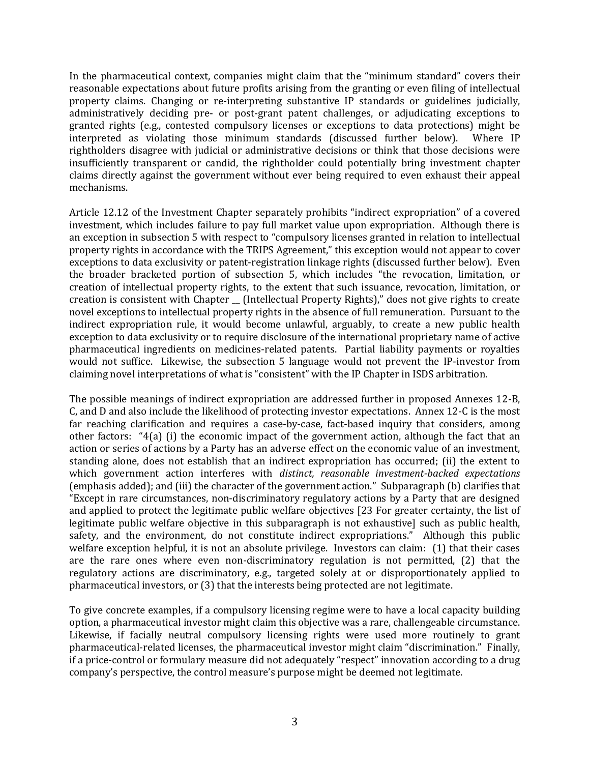In the pharmaceutical context, companies might claim that the "minimum standard" covers their reasonable expectations about future profits arising from the granting or even filing of intellectual property claims. Changing or re-interpreting substantive IP standards or guidelines judicially, administratively deciding pre- or post-grant patent challenges, or adjudicating exceptions to granted rights (e.g., contested compulsory licenses or exceptions to data protections) might be interpreted as violating those minimum standards (discussed further below). Where IP interpreted as violating those minimum standards (discussed further below). rightholders disagree with judicial or administrative decisions or think that those decisions were insufficiently transparent or candid, the rightholder could potentially bring investment chapter claims directly against the government without ever being required to even exhaust their appeal mechanisms.

Article 12.12 of the Investment Chapter separately prohibits "indirect expropriation" of a covered investment, which includes failure to pay full market value upon expropriation. Although there is an exception in subsection 5 with respect to "compulsory licenses granted in relation to intellectual property rights in accordance with the TRIPS Agreement," this exception would not appear to cover exceptions to data exclusivity or patent-registration linkage rights (discussed further below). Even the broader bracketed portion of subsection 5, which includes "the revocation, limitation, or creation of intellectual property rights, to the extent that such issuance, revocation, limitation, or creation is consistent with Chapter \_\_ (Intellectual Property Rights)," does not give rights to create novel exceptions to intellectual property rights in the absence of full remuneration. Pursuant to the indirect expropriation rule, it would become unlawful, arguably, to create a new public health exception to data exclusivity or to require disclosure of the international proprietary name of active pharmaceutical ingredients on medicines-related patents. Partial liability payments or royalties would not suffice. Likewise, the subsection 5 language would not prevent the IP-investor from claiming novel interpretations of what is "consistent" with the IP Chapter in ISDS arbitration.

The possible meanings of indirect expropriation are addressed further in proposed Annexes 12-B, C, and D and also include the likelihood of protecting investor expectations. Annex 12-C is the most far reaching clarification and requires a case-by-case, fact-based inquiry that considers, among other factors: "4(a) (i) the economic impact of the government action, although the fact that an action or series of actions by a Party has an adverse effect on the economic value of an investment, standing alone, does not establish that an indirect expropriation has occurred; (ii) the extent to which government action interferes with *distinct, reasonable investment-backed expectations* (emphasis added); and (iii) the character of the government action." Subparagraph (b) clarifies that "Except in rare circumstances, non-discriminatory regulatory actions by a Party that are designed and applied to protect the legitimate public welfare objectives [23 For greater certainty, the list of legitimate public welfare objective in this subparagraph is not exhaustive] such as public health, safety, and the environment, do not constitute indirect expropriations." Although this public welfare exception helpful, it is not an absolute privilege. Investors can claim: (1) that their cases are the rare ones where even non-discriminatory regulation is not permitted, (2) that the regulatory actions are discriminatory, e.g., targeted solely at or disproportionately applied to pharmaceutical investors, or (3) that the interests being protected are not legitimate.

To give concrete examples, if a compulsory licensing regime were to have a local capacity building option, a pharmaceutical investor might claim this objective was a rare, challengeable circumstance. Likewise, if facially neutral compulsory licensing rights were used more routinely to grant pharmaceutical-related licenses, the pharmaceutical investor might claim "discrimination." Finally, if a price-control or formulary measure did not adequately "respect" innovation according to a drug company's perspective, the control measure's purpose might be deemed not legitimate.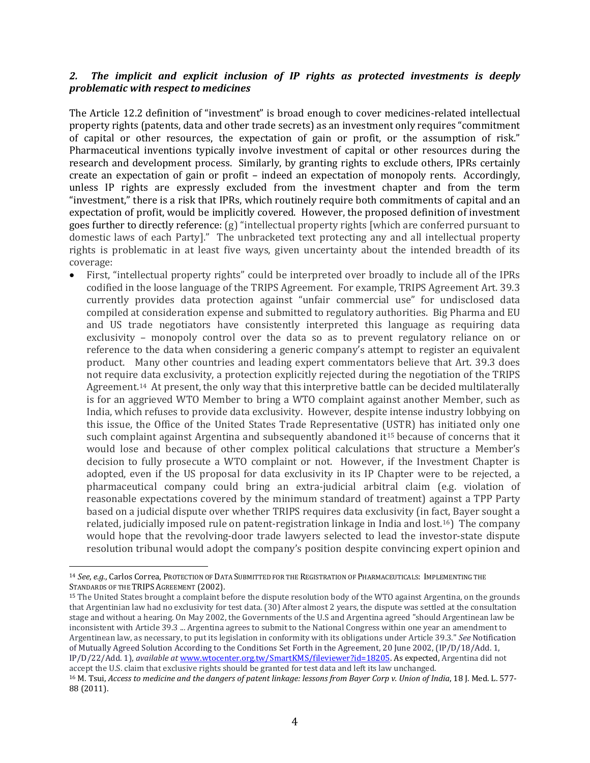# *2. The implicit and explicit inclusion of IP rights as protected investments is deeply problematic with respect to medicines*

The Article 12.2 definition of "investment" is broad enough to cover medicines-related intellectual property rights (patents, data and other trade secrets) as an investment only requires "commitment of capital or other resources, the expectation of gain or profit, or the assumption of risk." Pharmaceutical inventions typically involve investment of capital or other resources during the research and development process. Similarly, by granting rights to exclude others, IPRs certainly create an expectation of gain or profit – indeed an expectation of monopoly rents. Accordingly, unless IP rights are expressly excluded from the investment chapter and from the term "investment," there is a risk that IPRs, which routinely require both commitments of capital and an expectation of profit, would be implicitly covered. However, the proposed definition of investment goes further to directly reference: (g) "intellectual property rights [which are conferred pursuant to domestic laws of each Party]." The unbracketed text protecting any and all intellectual property rights is problematic in at least five ways, given uncertainty about the intended breadth of its coverage:

• First, "intellectual property rights" could be interpreted over broadly to include all of the IPRs codified in the loose language of the TRIPS Agreement. For example, TRIPS Agreement Art. 39.3 currently provides data protection against "unfair commercial use" for undisclosed data compiled at consideration expense and submitted to regulatory authorities. Big Pharma and EU and US trade negotiators have consistently interpreted this language as requiring data exclusivity – monopoly control over the data so as to prevent regulatory reliance on or reference to the data when considering a generic company's attempt to register an equivalent product. Many other countries and leading expert commentators believe that Art. 39.3 does not require data exclusivity, a protection explicitly rejected during the negotiation of the TRIPS Agreement.<sup>[14](#page-3-0)</sup> At present, the only way that this interpretive battle can be decided multilaterally is for an aggrieved WTO Member to bring a WTO complaint against another Member, such as India, which refuses to provide data exclusivity. However, despite intense industry lobbying on this issue, the Office of the United States Trade Representative ([US](#page-3-1)TR) has initiated only one such complaint against Argentina and subsequently abandoned it<sup>15</sup> because of concerns that it would lose and because of other complex political calculations that structure a Member's decision to fully prosecute a WTO complaint or not. However, if the Investment Chapter is adopted, even if the US proposal for data exclusivity in its IP Chapter were to be rejected, a pharmaceutical company could bring an extra-judicial arbitral claim (e.g. violation of reasonable expectations covered by the minimum standard of treatment) against a TPP Party based on a judicial dispute over whether TRIPS requires data exclusivity (in fact, Bayer sought a related, judicially imposed rule on patent-registration linkage in India and lost.[16](#page-3-2)) The company would hope that the revolving-door trade lawyers selected to lead the investor-state dispute resolution tribunal would adopt the company's position despite convincing expert opinion and

<span id="page-3-0"></span> <sup>14</sup> *See*, *e.g*., Carlos Correa, PROTECTION OF DATA SUBMITTED FOR THE REGISTRATION OF PHARMACEUTICALS: IMPLEMENTING THE STANDARDS OF THE TRIPS AGREEMENT (2002).

<span id="page-3-1"></span><sup>15</sup> The United States brought a complaint before the dispute resolution body of the WTO against Argentina, on the grounds that Argentinian law had no exclusivity for test data. (30) After almost 2 years, the dispute was settled at the consultation stage and without a hearing. On May 2002, the Governments of the U.S and Argentina agreed "should Argentinean law be inconsistent with Article 39.3 ... Argentina agrees to submit to the National Congress within one year an amendment to Argentinean law, as necessary, to put its legislation in conformity with its obligations under Article 39.3." *See* Notification of Mutually Agreed Solution According to the Conditions Set Forth in the Agreement, 20 June 2002, (IP/D/18/Add. 1, IP/D/22/Add. 1), *available at* [www.wtocenter.org.tw/SmartKMS/fileviewer?id=18205.](http://www.wtocenter.org.tw/SmartKMS/fileviewer?id=18205) As expected, Argentina did not accept the U.S. claim that exclusive rights should be granted for test data and left its law unchanged.

<span id="page-3-2"></span><sup>16</sup> M. Tsui, *Access to medicine and the dangers of patent linkage: lessons from Bayer Corp v. Union of India*, 18 J. Med. L. 577- 88 (2011).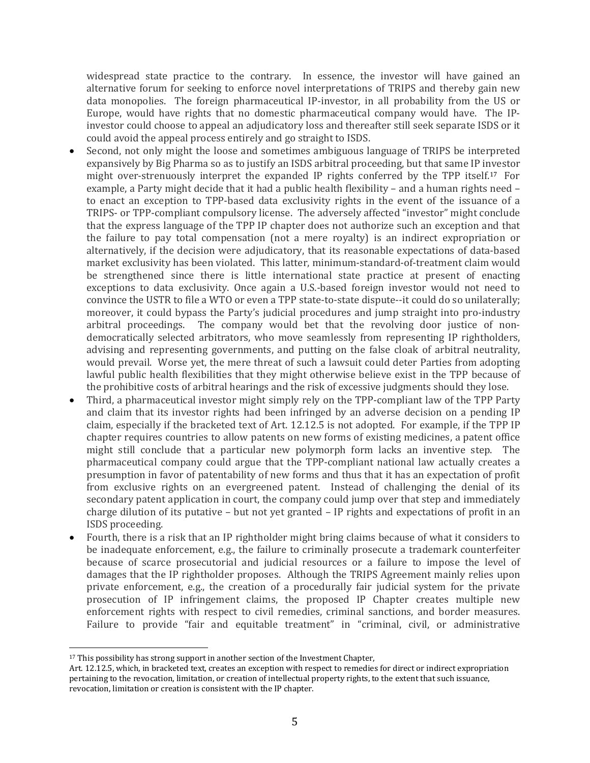widespread state practice to the contrary. In essence, the investor will have gained an alternative forum for seeking to enforce novel interpretations of TRIPS and thereby gain new data monopolies. The foreign pharmaceutical IP-investor, in all probability from the US or Europe, would have rights that no domestic pharmaceutical company would have. The IPinvestor could choose to appeal an adjudicatory loss and thereafter still seek separate ISDS or it could avoid the appeal process entirely and go straight to ISDS.

- Second, not only might the loose and sometimes ambiguous language of TRIPS be interpreted expansively by Big Pharma so as to justify an ISDS arbitral proceeding, but that same IP investor might over-strenuously interpret the expanded IP rights conferred by the TPP itself.[17](#page-4-0) For example, a Party might decide that it had a public health flexibility – and a human rights need – to enact an exception to TPP-based data exclusivity rights in the event of the issuance of a TRIPS- or TPP-compliant compulsory license. The adversely affected "investor" might conclude that the express language of the TPP IP chapter does not authorize such an exception and that the failure to pay total compensation (not a mere royalty) is an indirect expropriation or alternatively, if the decision were adjudicatory, that its reasonable expectations of data-based market exclusivity has been violated. This latter, minimum-standard-of-treatment claim would be strengthened since there is little international state practice at present of enacting exceptions to data exclusivity. Once again a U.S.-based foreign investor would not need to convince the USTR to file a WTO or even a TPP state-to-state dispute--it could do so unilaterally; moreover, it could bypass the Party's judicial procedures and jump straight into pro-industry arbitral proceedings. The company would bet that the revolving door justice of nondemocratically selected arbitrators, who move seamlessly from representing IP rightholders, advising and representing governments, and putting on the false cloak of arbitral neutrality, would prevail. Worse yet, the mere threat of such a lawsuit could deter Parties from adopting lawful public health flexibilities that they might otherwise believe exist in the TPP because of the prohibitive costs of arbitral hearings and the risk of excessive judgments should they lose.
- Third, a pharmaceutical investor might simply rely on the TPP-compliant law of the TPP Party and claim that its investor rights had been infringed by an adverse decision on a pending IP claim, especially if the bracketed text of Art. 12.12.5 is not adopted. For example, if the TPP IP chapter requires countries to allow patents on new forms of existing medicines, a patent office might still conclude that a particular new polymorph form lacks an inventive step. The pharmaceutical company could argue that the TPP-compliant national law actually creates a presumption in favor of patentability of new forms and thus that it has an expectation of profit from exclusive rights on an evergreened patent. Instead of challenging the denial of its secondary patent application in court, the company could jump over that step and immediately charge dilution of its putative – but not yet granted – IP rights and expectations of profit in an ISDS proceeding.
- Fourth, there is a risk that an IP rightholder might bring claims because of what it considers to be inadequate enforcement, e.g., the failure to criminally prosecute a trademark counterfeiter because of scarce prosecutorial and judicial resources or a failure to impose the level of damages that the IP rightholder proposes. Although the TRIPS Agreement mainly relies upon private enforcement, e.g., the creation of a procedurally fair judicial system for the private prosecution of IP infringement claims, the proposed IP Chapter creates multiple new enforcement rights with respect to civil remedies, criminal sanctions, and border measures. Failure to provide "fair and equitable treatment" in "criminal, civil, or administrative

<span id="page-4-0"></span><sup>&</sup>lt;sup>17</sup> This possibility has strong support in another section of the Investment Chapter,

Art. 12.12.5, which, in bracketed text, creates an exception with respect to remedies for direct or indirect expropriation pertaining to the revocation, limitation, or creation of intellectual property rights, to the extent that such issuance, revocation, limitation or creation is consistent with the IP chapter.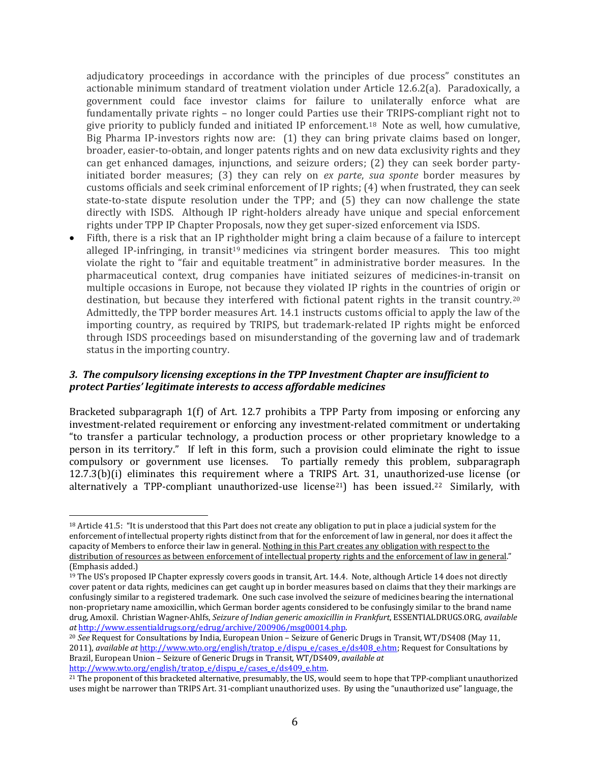adjudicatory proceedings in accordance with the principles of due process" constitutes an actionable minimum standard of treatment violation under Article 12.6.2(a). Paradoxically, a government could face investor claims for failure to unilaterally enforce what are fundamentally private rights – no longer could Parties use their TRIPS-compliant right not to give priority to publicly funded and initiated IP enforcement.[18](#page-5-0) Note as well, how cumulative, Big Pharma IP-investors rights now are: (1) they can bring private claims based on longer, broader, easier-to-obtain, and longer patents rights and on new data exclusivity rights and they can get enhanced damages, injunctions, and seizure orders; (2) they can seek border partyinitiated border measures; (3) they can rely on *ex parte*, *sua sponte* border measures by customs officials and seek criminal enforcement of IP rights; (4) when frustrated, they can seek state-to-state dispute resolution under the TPP; and (5) they can now challenge the state directly with ISDS. Although IP right-holders already have unique and special enforcement rights under TPP IP Chapter Proposals, now they get super-sized enforcement via ISDS.

• Fifth, there is a risk that an IP rightholder might bring a claim because of a failure to intercept alleged IP-infringing, in transit<sup>[19](#page-5-1)</sup> medicines via stringent border measures. This too might violate the right to "fair and equitable treatment" in administrative border measures. In the pharmaceutical context, drug companies have initiated seizures of medicines-in-transit on multiple occasions in Europe, not because they violated IP rights in the countries of origin or destination, but because they interfered with fictional patent rights in the transit country.[20](#page-5-2) Admittedly, the TPP border measures Art. 14.1 instructs customs official to apply the law of the importing country, as required by TRIPS, but trademark-related IP rights might be enforced through ISDS proceedings based on misunderstanding of the governing law and of trademark status in the importing country.

#### *3. The compulsory licensing exceptions in the TPP Investment Chapter are insufficient to protect Parties' legitimate interests to access affordable medicines*

Bracketed subparagraph 1(f) of Art. 12.7 prohibits a TPP Party from imposing or enforcing any investment-related requirement or enforcing any investment-related commitment or undertaking "to transfer a particular technology, a production process or other proprietary knowledge to a person in its territory." If left in this form, such a provision could eliminate the right to issue compulsory or government use licenses. To partially remedy this problem, subparagraph 12.7.3(b)(i) eliminates this requirement where a TRIPS Art. 31, unauthorized-use license (or alternatively a TPP-compliant unauthorized-use license<sup>21</sup>) has been issued.<sup>[22](#page-5-4)</sup> Similarly, with

<span id="page-5-4"></span><span id="page-5-0"></span> <sup>18</sup> Article 41.5: "It is understood that this Part does not create any obligation to put in place a judicial system for the enforcement of intellectual property rights distinct from that for the enforcement of law in general, nor does it affect the capacity of Members to enforce their law in general. Nothing in this Part creates any obligation with respect to the distribution of resources as between enforcement of intellectual property rights and the enforcement of law in general." (Emphasis added.)

<span id="page-5-1"></span><sup>19</sup> The US's proposed IP Chapter expressly covers goods in transit, Art. 14.4. Note, although Article 14 does not directly cover patent or data rights, medicines can get caught up in border measures based on claims that they their markings are confusingly similar to a registered trademark. One such case involved the seizure of medicines bearing the international non-proprietary name amoxicillin, which German border agents considered to be confusingly similar to the brand name drug, Amoxil. Christian Wagner-Ahlfs, *Seizure of Indian generic amoxicillin in Frankfurt*, ESSENTIALDRUGS.ORG, *available* 

<span id="page-5-2"></span><sup>&</sup>lt;sup>20</sup> See Request for Consultations by India, European Union – Seizure of Generic Drugs in Transit, WT/DS408 (May 11, 2011), *available at* [http://www.wto.org/english/tratop\\_e/dispu\\_e/cases\\_e/ds408\\_e.htm;](http://www.wto.org/english/tratop_e/dispu_e/cases_e/ds408_e.htm) Request for Consultations by Brazil, European Union – Seizure of Generic Drugs in Transit, WT/DS409, *available at*

<span id="page-5-3"></span><sup>&</sup>lt;sup>21</sup> The proponent of this bracketed alternative, presumably, the US, would seem to hope that TPP-compliant unauthorized uses might be narrower than TRIPS Art. 31-compliant unauthorized uses. By using the "unauthorized use" language, the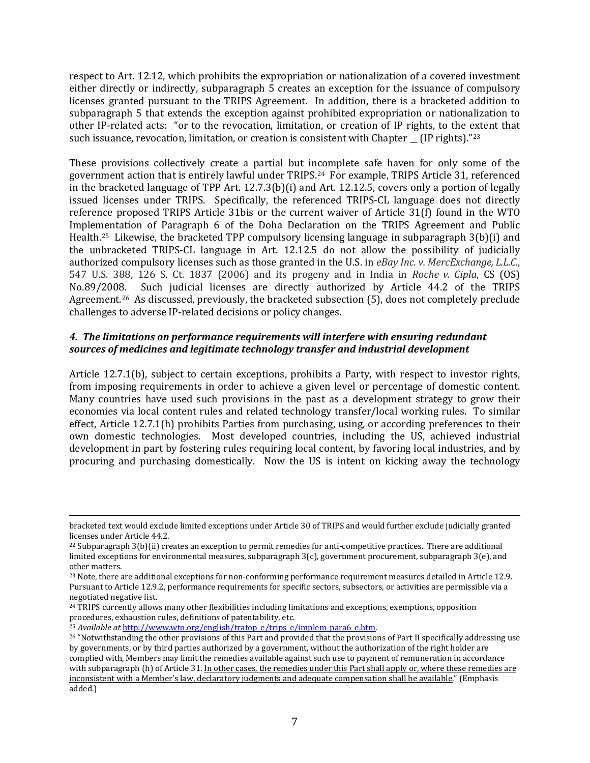respect to Art. 12.12, which prohibits the expropriation or nationalization of a covered investment either directly or indirectly, subparagraph 5 creates an exception for the issuance of compulsory licenses granted pursuant to the TRIPS Agreement. In addition, there is a bracketed addition to subparagraph 5 that extends the exception against prohibited expropriation or nationalization to other IP-related acts: "or to the revocation, limitation, or creation of IP rights, to the extent that such issuance, revocation, limitation, or creation is consistent with Chapter \_ (IP rights)."[23](#page-6-0)

These provisions collectively create a partial but incomplete safe haven for only some of the government action that is entirely lawful under TRIPS.[24](#page-6-1) For example, TRIPS Article 31, referenced in the bracketed language of TPP Art. 12.7.3(b)(i) and Art. 12.12.5, covers only a portion of legally issued licenses under TRIPS. Specifically, the referenced TRIPS-CL language does not directly reference proposed TRIPS Article 31bis or the current waiver of Article 31(f) found in the WTO Implementation of Paragraph 6 of the Doha Declaration on the TRIPS Agreement and Public Health.[25](#page-6-2) Likewise, the bracketed TPP compulsory licensing language in subparagraph 3(b)(i) and the unbracketed TRIPS-CL language in Art. 12.12.5 do not allow the possibility of judicially authorized compulsory licenses such as those granted in the U.S. in *eBay Inc. v. MercExchange, L.L.C.*, 547 U.S. 388, 126 S. Ct. 1837 (2006) and its progeny and in India in *Roche v. Cipla*, CS (OS) Such judicial licenses are directly authorized by Article 44.2 of the TRIPS Agreement.[26](#page-6-3) As discussed, previously, the bracketed subsection (5), does not completely preclude challenges to adverse IP-related decisions or policy changes.

# *4. The limitations on performance requirements will interfere with ensuring redundant sources of medicines and legitimate technology transfer and industrial development*

Article 12.7.1(b), subject to certain exceptions, prohibits a Party, with respect to investor rights, from imposing requirements in order to achieve a given level or percentage of domestic content. Many countries have used such provisions in the past as a development strategy to grow their economies via local content rules and related technology transfer/local working rules. To similar effect, Article 12.7.1(h) prohibits Parties from purchasing, using, or according preferences to their own domestic technologies. Most developed countries, including the US, achieved industrial development in part by fostering rules requiring local content, by favoring local industries, and by procuring and purchasing domestically. Now the US is intent on kicking away the technology

<span id="page-6-2"></span>

bracketed text would exclude limited exceptions under Article 30 of TRIPS and would further exclude judicially granted licenses under Article 44.2.

<sup>22</sup> Subparagraph 3(b)(ii) creates an exception to permit remedies for anti-competitive practices. There are additional limited exceptions for environmental measures, subparagraph 3(c), government procurement, subparagraph 3(e), and other matters.

<span id="page-6-0"></span><sup>&</sup>lt;sup>23</sup> Note, there are additional exceptions for non-conforming performance requirement measures detailed in Article 12.9. Pursuant to Article 12.9.2, performance requirements for specific sectors, subsectors, or activities are permissible via a negotiated negative list.

<span id="page-6-1"></span><sup>24</sup> TRIPS currently allows many other flexibilities including limitations and exceptions, exemptions, opposition procedures, exhaustion rules, definitions of patentability, etc.<br><sup>25</sup> Available at http://www.wto.org/english/tratop e/trips e/implem para6 e.htm.

<span id="page-6-3"></span><sup>&</sup>lt;sup>26</sup> "Notwithstanding the other provisions of this Part and provided that the provisions of Part II specifically addressing use by governments, or by third parties authorized by a government, without the authorization of the right holder are complied with, Members may limit the remedies available against such use to payment of remuneration in accordance with subparagraph (h) of Article 31. In other cases, the remedies under this Part shall apply or, where these remedies are inconsistent with a Member's law, declaratory judgments and adequate compensation shall be available." (Emphasis added.)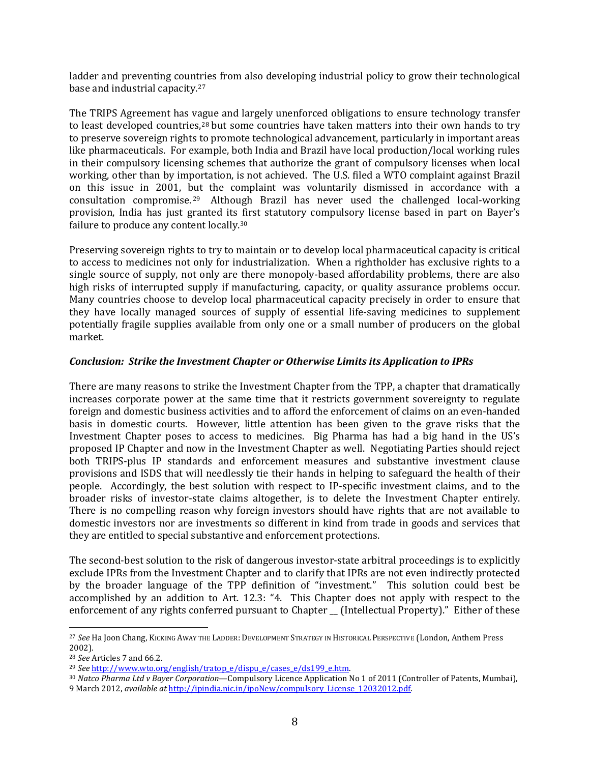ladder and preventing countries from also developing industrial policy to grow their technological base and industrial capacity.[27](#page-7-0)

The TRIPS Agreement has vague and largely unenforced obligations to ensure technology transfer to least developed countries,<sup>[28](#page-7-1)</sup> but some countries have taken matters into their own hands to try to preserve sovereign rights to promote technological advancement, particularly in important areas like pharmaceuticals. For example, both India and Brazil have local production/local working rules in their compulsory licensing schemes that authorize the grant of compulsory licenses when local working, other than by importation, is not achieved. The U.S. filed a WTO complaint against Brazil on this issue in 2001, [but](#page-7-2) the complaint was voluntarily dismissed in accordance with a consultation compromise. 29 Although Brazil has never used the challenged local-working provision, India has just granted its first statutory compulsory license based in part on Bayer's failure to produce any content locally[.30](#page-7-3)

Preserving sovereign rights to try to maintain or to develop local pharmaceutical capacity is critical to access to medicines not only for industrialization. When a rightholder has exclusive rights to a single source of supply, not only are there monopoly-based affordability problems, there are also high risks of interrupted supply if manufacturing, capacity, or quality assurance problems occur. Many countries choose to develop local pharmaceutical capacity precisely in order to ensure that they have locally managed sources of supply of essential life-saving medicines to supplement potentially fragile supplies available from only one or a small number of producers on the global market.

#### *Conclusion: Strike the Investment Chapter or Otherwise Limits its Application to IPRs*

There are many reasons to strike the Investment Chapter from the TPP, a chapter that dramatically increases corporate power at the same time that it restricts government sovereignty to regulate foreign and domestic business activities and to afford the enforcement of claims on an even-handed basis in domestic courts. However, little attention has been given to the grave risks that the Investment Chapter poses to access to medicines. Big Pharma has had a big hand in the US's proposed IP Chapter and now in the Investment Chapter as well. Negotiating Parties should reject both TRIPS-plus IP standards and enforcement measures and substantive investment clause provisions and ISDS that will needlessly tie their hands in helping to safeguard the health of their people. Accordingly, the best solution with respect to IP-specific investment claims, and to the broader risks of investor-state claims altogether, is to delete the Investment Chapter entirely. There is no compelling reason why foreign investors should have rights that are not available to domestic investors nor are investments so different in kind from trade in goods and services that they are entitled to special substantive and enforcement protections.

The second-best solution to the risk of dangerous investor-state arbitral proceedings is to explicitly exclude IPRs from the Investment Chapter and to clarify that IPRs are not even indirectly protected by the broader language of the TPP definition of "investment." This solution could best be accomplished by an addition to Art. 12.3: "4. This Chapter does not apply with respect to the enforcement of any rights conferred pursuant to Chapter [Intellectual Property]." Either of these

<span id="page-7-0"></span> <sup>27</sup> *See* Ha Joon Chang, KICKING AWAY THE LADDER: DEVELOPMENT STRATEGY IN HISTORICAL PERSPECTIVE (London, Anthem Press 2002).

<span id="page-7-1"></span><sup>&</sup>lt;sup>28</sup> *See* Articles 7 and 66.2.<br><sup>29</sup> *See* http://www.wto.org/english/tratop e/dispu e/cases e/ds199 e.htm.

<span id="page-7-3"></span><span id="page-7-2"></span><sup>&</sup>lt;sup>30</sup> *Natco Pharma Ltd v Bayer Corporation*—Compulsory Licence Application No 1 of 2011 (Controller of Patents, Mumbai), 9 March 2012, *available at* [http://ipindia.nic.in/ipoNew/compulsory\\_License\\_12032012.pdf.](http://ipindia.nic.in/ipoNew/compulsory_License_12032012.pdf)